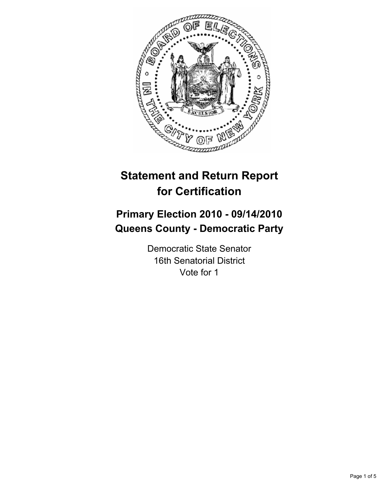

# **Statement and Return Report for Certification**

# **Primary Election 2010 - 09/14/2010 Queens County - Democratic Party**

Democratic State Senator 16th Senatorial District Vote for 1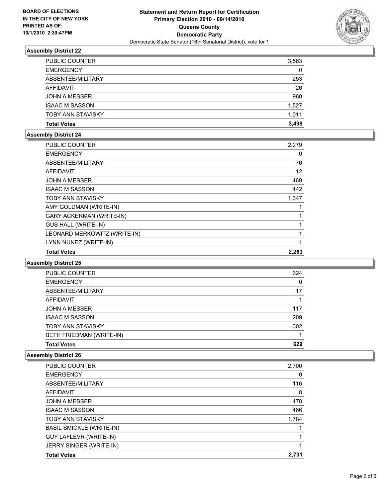

# **Assembly District 22**

| <b>PUBLIC COUNTER</b>    | 3,563 |
|--------------------------|-------|
| <b>EMERGENCY</b>         | 0     |
| ABSENTEE/MILITARY        | 253   |
| AFFIDAVIT                | 26    |
| <b>JOHN A MESSER</b>     | 960   |
| <b>ISAAC M SASSON</b>    | 1,527 |
| <b>TOBY ANN STAVISKY</b> | 1,011 |
| <b>Total Votes</b>       | 3,498 |

# **Assembly District 24**

| <b>PUBLIC COUNTER</b>           | 2,279 |
|---------------------------------|-------|
| <b>EMERGENCY</b>                | 0     |
| ABSENTEE/MILITARY               | 76    |
| <b>AFFIDAVIT</b>                | 12    |
| JOHN A MESSER                   | 469   |
| <b>ISAAC M SASSON</b>           | 442   |
| <b>TOBY ANN STAVISKY</b>        | 1,347 |
| AMY GOLDMAN (WRITE-IN)          | 1     |
| <b>GARY ACKERMAN (WRITE-IN)</b> | 1     |
| <b>GUS HALL (WRITE-IN)</b>      | 1     |
| LEONARD MERKOWITZ (WRITE-IN)    | 1     |
| LYNN NUNEZ (WRITE-IN)           |       |
| <b>Total Votes</b>              | 2,263 |

#### **Assembly District 25**

| PUBLIC COUNTER           | 624 |
|--------------------------|-----|
| <b>EMERGENCY</b>         | 0   |
| ABSENTEE/MILITARY        | 17  |
| AFFIDAVIT                |     |
| <b>JOHN A MESSER</b>     | 117 |
| <b>ISAAC M SASSON</b>    | 209 |
| <b>TOBY ANN STAVISKY</b> | 302 |
| BETH FRIEDMAN (WRITE-IN) |     |
| <b>Total Votes</b>       | 629 |

## **Assembly District 26**

| <b>Total Votes</b>              | 2.731 |
|---------------------------------|-------|
| JERRY SINGER (WRITE-IN)         |       |
| <b>GUY LAFLEVR (WRITE-IN)</b>   |       |
| <b>BASIL SMICKLE (WRITE-IN)</b> |       |
| <b>TOBY ANN STAVISKY</b>        | 1,784 |
| <b>ISAAC M SASSON</b>           | 466   |
| <b>JOHN A MESSER</b>            | 478   |
| AFFIDAVIT                       | 8     |
| ABSENTEE/MILITARY               | 116   |
| <b>EMERGENCY</b>                | 0     |
| <b>PUBLIC COUNTER</b>           | 2,700 |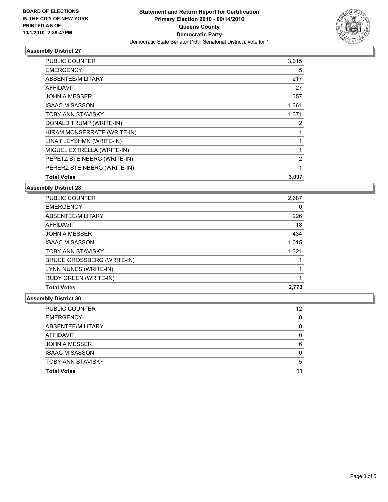

## **Assembly District 27**

| PUBLIC COUNTER              | 3,015 |
|-----------------------------|-------|
| <b>EMERGENCY</b>            | 5     |
| ABSENTEE/MILITARY           | 217   |
| AFFIDAVIT                   | 27    |
| <b>JOHN A MESSER</b>        | 357   |
| <b>ISAAC M SASSON</b>       | 1,361 |
| <b>TOBY ANN STAVISKY</b>    | 1,371 |
| DONALD TRUMP (WRITE-IN)     | 2     |
| HIRAM MONSERRATE (WRITE-IN) | 1     |
| LINA FLEYSHMN (WRITE-IN)    |       |
| MIGUEL EXTRELLA (WRITE-IN)  | 1     |
| PEPETZ STEINBERG (WRITE-IN) | 2     |
| PERERZ STEINBERG (WRITE-IN) | 1     |
| <b>Total Votes</b>          | 3,097 |

**Assembly District 28**

| <b>Total Votes</b>         | 2.773 |
|----------------------------|-------|
| RUDY GREEN (WRITE-IN)      |       |
| LYNN NUNES (WRITE-IN)      |       |
| BRUCE GROSSBERG (WRITE-IN) |       |
| <b>TOBY ANN STAVISKY</b>   | 1,321 |
| <b>ISAAC M SASSON</b>      | 1.015 |
| <b>JOHN A MESSER</b>       | 434   |
| AFFIDAVIT                  | 18    |
| ABSENTEE/MILITARY          | 226   |
| <b>EMERGENCY</b>           | 0     |
| <b>PUBLIC COUNTER</b>      | 2,687 |

## **Assembly District 30**

| <b>PUBLIC COUNTER</b>    | 12 |
|--------------------------|----|
| <b>EMERGENCY</b>         | 0  |
| ABSENTEE/MILITARY        | 0  |
| AFFIDAVIT                | 0  |
| <b>JOHN A MESSER</b>     | 6  |
| <b>ISAAC M SASSON</b>    | 0  |
| <b>TOBY ANN STAVISKY</b> | 5  |
| <b>Total Votes</b>       | 11 |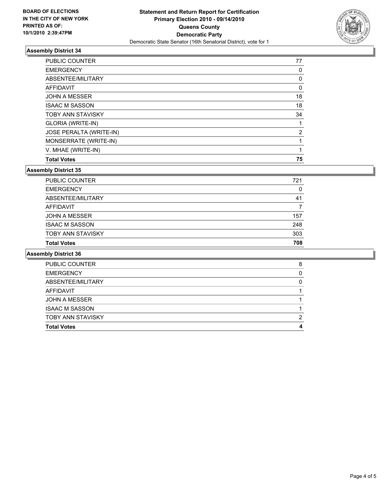

## **Assembly District 34**

| <b>Total Votes</b>             | 75 |
|--------------------------------|----|
| V. MHAE (WRITE-IN)             | 1  |
| MONSERRATE (WRITE-IN)          |    |
| <b>JOSE PERALTA (WRITE-IN)</b> | 2  |
| GLORIA (WRITE-IN)              | 1  |
| <b>TOBY ANN STAVISKY</b>       | 34 |
| <b>ISAAC M SASSON</b>          | 18 |
| <b>JOHN A MESSER</b>           | 18 |
| AFFIDAVIT                      | 0  |
| ABSENTEE/MILITARY              | 0  |
| <b>EMERGENCY</b>               | 0  |
| <b>PUBLIC COUNTER</b>          | 77 |

#### **Assembly District 35**

| PUBLIC COUNTER           | 721 |
|--------------------------|-----|
| <b>EMERGENCY</b>         | 0   |
| ABSENTEE/MILITARY        | 41  |
| AFFIDAVIT                |     |
| <b>JOHN A MESSER</b>     | 157 |
| <b>ISAAC M SASSON</b>    | 248 |
| <b>TOBY ANN STAVISKY</b> | 303 |
| <b>Total Votes</b>       | 708 |

#### **Assembly District 36**

| <b>PUBLIC COUNTER</b>    | 8 |
|--------------------------|---|
| <b>EMERGENCY</b>         |   |
| ABSENTEE/MILITARY        |   |
| <b>AFFIDAVIT</b>         |   |
| <b>JOHN A MESSER</b>     |   |
| <b>ISAAC M SASSON</b>    |   |
| <b>TOBY ANN STAVISKY</b> |   |
| <b>Total Votes</b>       |   |